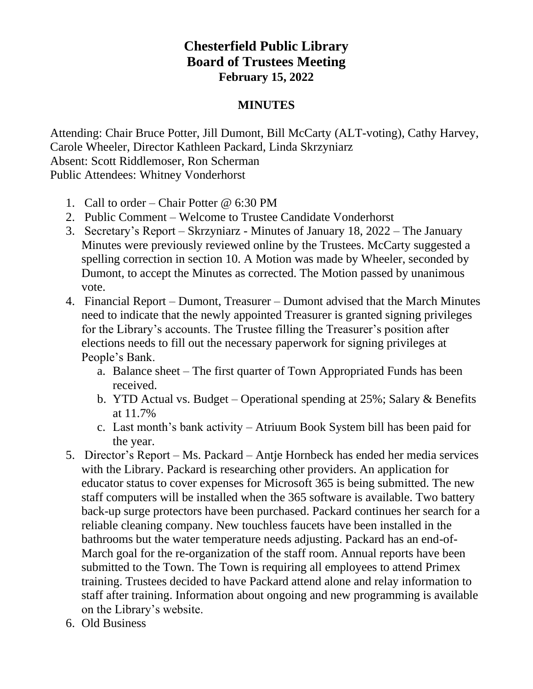## **Chesterfield Public Library Board of Trustees Meeting February 15, 2022**

## **MINUTES**

Attending: Chair Bruce Potter, Jill Dumont, Bill McCarty (ALT-voting), Cathy Harvey, Carole Wheeler, Director Kathleen Packard, Linda Skrzyniarz Absent: Scott Riddlemoser, Ron Scherman Public Attendees: Whitney Vonderhorst

- 1. Call to order Chair Potter @ 6:30 PM
- 2. Public Comment Welcome to Trustee Candidate Vonderhorst
- 3. Secretary's Report Skrzyniarz Minutes of January 18, 2022 The January Minutes were previously reviewed online by the Trustees. McCarty suggested a spelling correction in section 10. A Motion was made by Wheeler, seconded by Dumont, to accept the Minutes as corrected. The Motion passed by unanimous vote.
- 4. Financial Report Dumont, Treasurer Dumont advised that the March Minutes need to indicate that the newly appointed Treasurer is granted signing privileges for the Library's accounts. The Trustee filling the Treasurer's position after elections needs to fill out the necessary paperwork for signing privileges at People's Bank.
	- a. Balance sheet The first quarter of Town Appropriated Funds has been received.
	- b. YTD Actual vs. Budget Operational spending at 25%; Salary & Benefits at 11.7%
	- c. Last month's bank activity Atriuum Book System bill has been paid for the year.
- 5. Director's Report Ms. Packard Antje Hornbeck has ended her media services with the Library. Packard is researching other providers. An application for educator status to cover expenses for Microsoft 365 is being submitted. The new staff computers will be installed when the 365 software is available. Two battery back-up surge protectors have been purchased. Packard continues her search for a reliable cleaning company. New touchless faucets have been installed in the bathrooms but the water temperature needs adjusting. Packard has an end-of-March goal for the re-organization of the staff room. Annual reports have been submitted to the Town. The Town is requiring all employees to attend Primex training. Trustees decided to have Packard attend alone and relay information to staff after training. Information about ongoing and new programming is available on the Library's website.
- 6. Old Business